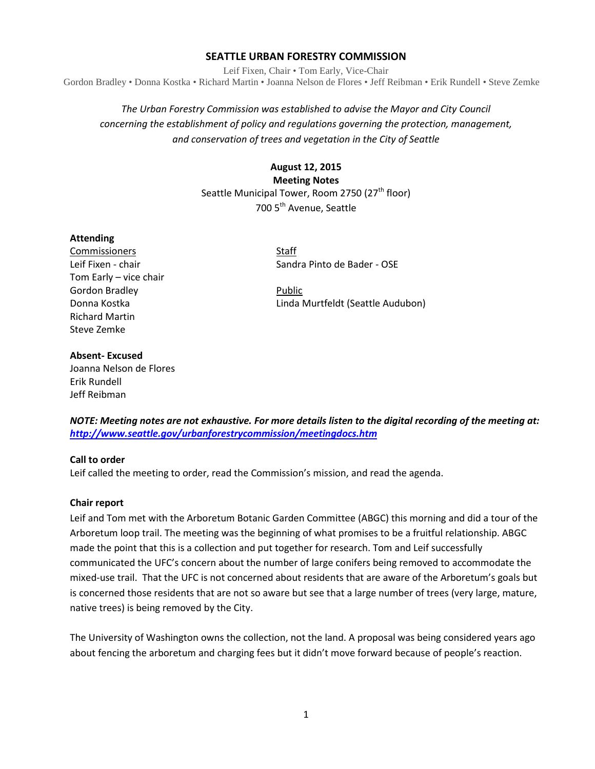## **SEATTLE URBAN FORESTRY COMMISSION**

Leif Fixen, Chair • Tom Early, Vice-Chair Gordon Bradley • Donna Kostka • Richard Martin • Joanna Nelson de Flores • Jeff Reibman • Erik Rundell • Steve Zemke

# *The Urban Forestry Commission was established to advise the Mayor and City Council concerning the establishment of policy and regulations governing the protection, management, and conservation of trees and vegetation in the City of Seattle*

**August 12, 2015 Meeting Notes** Seattle Municipal Tower, Room 2750 (27<sup>th</sup> floor) 700 5<sup>th</sup> Avenue, Seattle

### **Attending**

**Commissioners** Staff Tom Early – vice chair Gordon Bradley **According to Public** Richard Martin Steve Zemke

Leif Fixen - chair Sandra Pinto de Bader - OSE

Donna Kostka Linda Murtfeldt (Seattle Audubon)

#### **Absent- Excused**

Joanna Nelson de Flores Erik Rundell Jeff Reibman

*NOTE: Meeting notes are not exhaustive. For more details listen to the digital recording of the meeting at: <http://www.seattle.gov/urbanforestrycommission/meetingdocs.htm>*

### **Call to order**

Leif called the meeting to order, read the Commission's mission, and read the agenda.

### **Chair report**

Leif and Tom met with the Arboretum Botanic Garden Committee (ABGC) this morning and did a tour of the Arboretum loop trail. The meeting was the beginning of what promises to be a fruitful relationship. ABGC made the point that this is a collection and put together for research. Tom and Leif successfully communicated the UFC's concern about the number of large conifers being removed to accommodate the mixed-use trail. That the UFC is not concerned about residents that are aware of the Arboretum's goals but is concerned those residents that are not so aware but see that a large number of trees (very large, mature, native trees) is being removed by the City.

The University of Washington owns the collection, not the land. A proposal was being considered years ago about fencing the arboretum and charging fees but it didn't move forward because of people's reaction.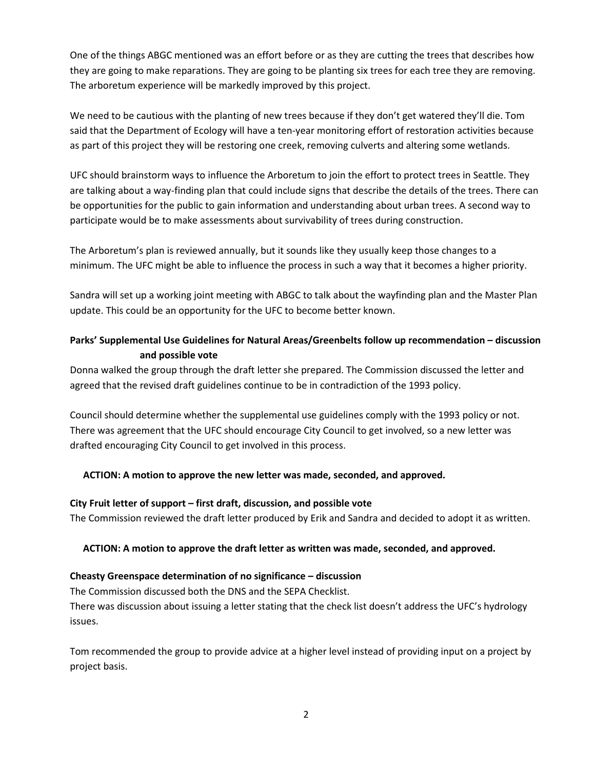One of the things ABGC mentioned was an effort before or as they are cutting the trees that describes how they are going to make reparations. They are going to be planting six trees for each tree they are removing. The arboretum experience will be markedly improved by this project.

We need to be cautious with the planting of new trees because if they don't get watered they'll die. Tom said that the Department of Ecology will have a ten-year monitoring effort of restoration activities because as part of this project they will be restoring one creek, removing culverts and altering some wetlands.

UFC should brainstorm ways to influence the Arboretum to join the effort to protect trees in Seattle. They are talking about a way-finding plan that could include signs that describe the details of the trees. There can be opportunities for the public to gain information and understanding about urban trees. A second way to participate would be to make assessments about survivability of trees during construction.

The Arboretum's plan is reviewed annually, but it sounds like they usually keep those changes to a minimum. The UFC might be able to influence the process in such a way that it becomes a higher priority.

Sandra will set up a working joint meeting with ABGC to talk about the wayfinding plan and the Master Plan update. This could be an opportunity for the UFC to become better known.

# **Parks' Supplemental Use Guidelines for Natural Areas/Greenbelts follow up recommendation – discussion and possible vote**

Donna walked the group through the draft letter she prepared. The Commission discussed the letter and agreed that the revised draft guidelines continue to be in contradiction of the 1993 policy.

Council should determine whether the supplemental use guidelines comply with the 1993 policy or not. There was agreement that the UFC should encourage City Council to get involved, so a new letter was drafted encouraging City Council to get involved in this process.

## **ACTION: A motion to approve the new letter was made, seconded, and approved.**

## **City Fruit letter of support – first draft, discussion, and possible vote**

The Commission reviewed the draft letter produced by Erik and Sandra and decided to adopt it as written.

## **ACTION: A motion to approve the draft letter as written was made, seconded, and approved.**

## **Cheasty Greenspace determination of no significance – discussion**

The Commission discussed both the DNS and the SEPA Checklist.

There was discussion about issuing a letter stating that the check list doesn't address the UFC's hydrology issues.

Tom recommended the group to provide advice at a higher level instead of providing input on a project by project basis.